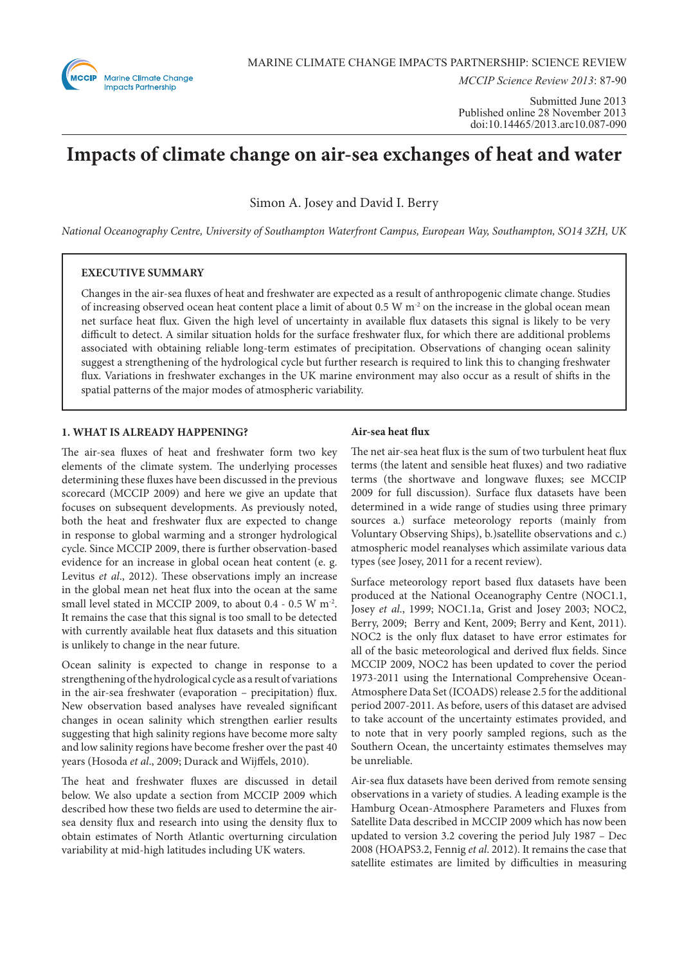

*MCCIP Science Review 2013*: 87-90

Submitted June 2013 Published online 28 November 2013 doi:10.14465/2013.arc10.087-090

# **Impacts of climate change on air-sea exchanges of heat and water**

Simon A. Josey and David I. Berry

*National Oceanography Centre, University of Southampton Waterfront Campus, European Way, Southampton, SO14 3ZH, UK*

# **EXECUTIVE SUMMARY**

Changes in the air-sea fluxes of heat and freshwater are expected as a result of anthropogenic climate change. Studies of increasing observed ocean heat content place a limit of about 0.5 W m<sup>-2</sup> on the increase in the global ocean mean net surface heat flux. Given the high level of uncertainty in available flux datasets this signal is likely to be very difficult to detect. A similar situation holds for the surface freshwater flux, for which there are additional problems associated with obtaining reliable long-term estimates of precipitation. Observations of changing ocean salinity suggest a strengthening of the hydrological cycle but further research is required to link this to changing freshwater flux. Variations in freshwater exchanges in the UK marine environment may also occur as a result of shifts in the spatial patterns of the major modes of atmospheric variability.

## **1. WHAT IS ALREADY HAPPENING?**

The air-sea fluxes of heat and freshwater form two key elements of the climate system. The underlying processes determining these fluxes have been discussed in the previous scorecard (MCCIP 2009) and here we give an update that focuses on subsequent developments. As previously noted, both the heat and freshwater flux are expected to change in response to global warming and a stronger hydrological cycle. Since MCCIP 2009, there is further observation-based evidence for an increase in global ocean heat content (e. g. Levitus *et al*., 2012). These observations imply an increase in the global mean net heat flux into the ocean at the same small level stated in MCCIP 2009, to about 0.4 - 0.5 W m-2. It remains the case that this signal is too small to be detected with currently available heat flux datasets and this situation is unlikely to change in the near future.

Ocean salinity is expected to change in response to a strengthening of the hydrological cycle as a result of variations in the air-sea freshwater (evaporation – precipitation) flux. New observation based analyses have revealed significant changes in ocean salinity which strengthen earlier results suggesting that high salinity regions have become more salty and low salinity regions have become fresher over the past 40 years (Hosoda *et al*., 2009; Durack and Wijffels, 2010).

The heat and freshwater fluxes are discussed in detail below. We also update a section from MCCIP 2009 which described how these two fields are used to determine the airsea density flux and research into using the density flux to obtain estimates of North Atlantic overturning circulation variability at mid-high latitudes including UK waters.

## **Air-sea heat flux**

The net air-sea heat flux is the sum of two turbulent heat flux terms (the latent and sensible heat fluxes) and two radiative terms (the shortwave and longwave fluxes; see MCCIP 2009 for full discussion). Surface flux datasets have been determined in a wide range of studies using three primary sources a.) surface meteorology reports (mainly from Voluntary Observing Ships), b.)satellite observations and c.) atmospheric model reanalyses which assimilate various data types (see Josey, 2011 for a recent review).

Surface meteorology report based flux datasets have been produced at the National Oceanography Centre (NOC1.1, Josey *et al*., 1999; NOC1.1a, Grist and Josey 2003; NOC2, Berry, 2009; Berry and Kent, 2009; Berry and Kent, 2011). NOC2 is the only flux dataset to have error estimates for all of the basic meteorological and derived flux fields. Since MCCIP 2009, NOC2 has been updated to cover the period 1973-2011 using the International Comprehensive Ocean-Atmosphere Data Set (ICOADS) release 2.5 for the additional period 2007-2011. As before, users of this dataset are advised to take account of the uncertainty estimates provided, and to note that in very poorly sampled regions, such as the Southern Ocean, the uncertainty estimates themselves may be unreliable.

Air-sea flux datasets have been derived from remote sensing observations in a variety of studies. A leading example is the Hamburg Ocean-Atmosphere Parameters and Fluxes from Satellite Data described in MCCIP 2009 which has now been updated to version 3.2 covering the period July 1987 – Dec 2008 (HOAPS3.2, Fennig *et al*. 2012). It remains the case that satellite estimates are limited by difficulties in measuring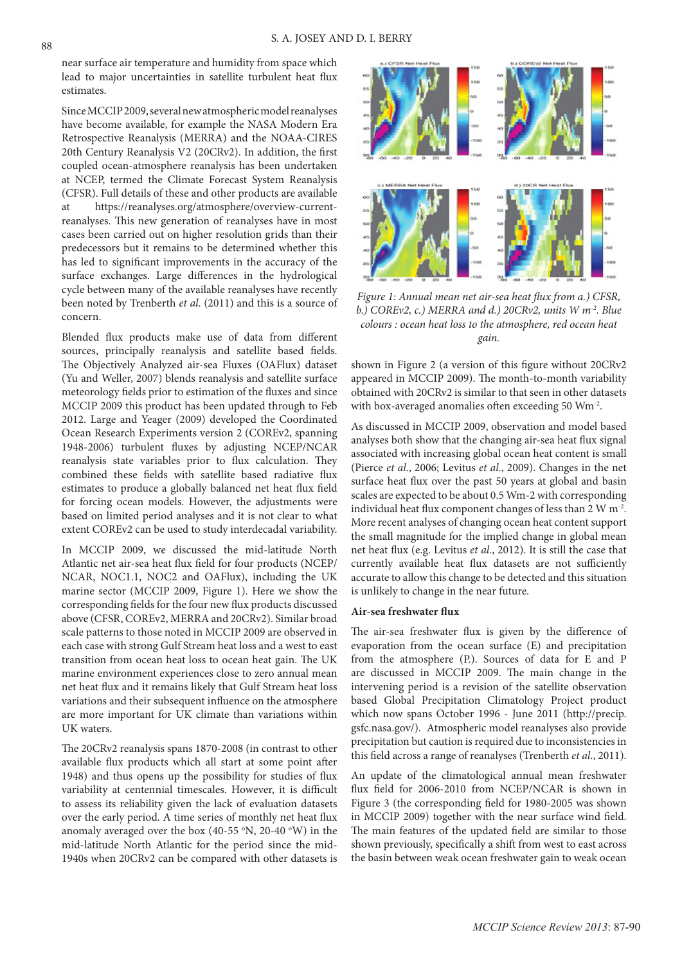near surface air temperature and humidity from space which lead to major uncertainties in satellite turbulent heat flux estimates.

Since MCCIP 2009, several new atmospheric model reanalyses have become available, for example the NASA Modern Era Retrospective Reanalysis (MERRA) and the NOAA-CIRES 20th Century Reanalysis V2 (20CRv2). In addition, the first coupled ocean-atmosphere reanalysis has been undertaken at NCEP, termed the Climate Forecast System Reanalysis (CFSR). Full details of these and other products are available at https://reanalyses.org/atmosphere/overview-currentreanalyses. This new generation of reanalyses have in most cases been carried out on higher resolution grids than their predecessors but it remains to be determined whether this has led to significant improvements in the accuracy of the surface exchanges. Large differences in the hydrological cycle between many of the available reanalyses have recently been noted by Trenberth *et al*. (2011) and this is a source of concern.

Blended flux products make use of data from different sources, principally reanalysis and satellite based fields. The Objectively Analyzed air-sea Fluxes (OAFlux) dataset (Yu and Weller, 2007) blends reanalysis and satellite surface meteorology fields prior to estimation of the fluxes and since MCCIP 2009 this product has been updated through to Feb 2012. Large and Yeager (2009) developed the Coordinated Ocean Research Experiments version 2 (COREv2, spanning 1948-2006) turbulent fluxes by adjusting NCEP/NCAR reanalysis state variables prior to flux calculation. They combined these fields with satellite based radiative flux estimates to produce a globally balanced net heat flux field for forcing ocean models. However, the adjustments were based on limited period analyses and it is not clear to what extent COREv2 can be used to study interdecadal variability.

In MCCIP 2009, we discussed the mid-latitude North Atlantic net air-sea heat flux field for four products (NCEP/ NCAR, NOC1.1, NOC2 and OAFlux), including the UK marine sector (MCCIP 2009, Figure 1). Here we show the corresponding fields for the four new flux products discussed above (CFSR, COREv2, MERRA and 20CRv2). Similar broad scale patterns to those noted in MCCIP 2009 are observed in each case with strong Gulf Stream heat loss and a west to east transition from ocean heat loss to ocean heat gain. The UK marine environment experiences close to zero annual mean net heat flux and it remains likely that Gulf Stream heat loss variations and their subsequent influence on the atmosphere are more important for UK climate than variations within UK waters.

The 20CRv2 reanalysis spans 1870-2008 (in contrast to other available flux products which all start at some point after 1948) and thus opens up the possibility for studies of flux variability at centennial timescales. However, it is difficult to assess its reliability given the lack of evaluation datasets over the early period. A time series of monthly net heat flux anomaly averaged over the box (40-55  $\,^{\circ}$ N, 20-40  $\,^{\circ}$ W) in the mid-latitude North Atlantic for the period since the mid-1940s when 20CRv2 can be compared with other datasets is



*Figure 1: Annual mean net air-sea heat flux from a.) CFSR, b.) COREv2, c.) MERRA and d.) 20CRv2, units W m-2. Blue colours : ocean heat loss to the atmosphere, red ocean heat gain.* 

shown in Figure 2 (a version of this figure without 20CRv2 appeared in MCCIP 2009). The month-to-month variability obtained with 20CRv2 is similar to that seen in other datasets with box-averaged anomalies often exceeding 50 Wm-2.

As discussed in MCCIP 2009, observation and model based analyses both show that the changing air-sea heat flux signal associated with increasing global ocean heat content is small (Pierce *et al*., 2006; Levitus *et al*., 2009). Changes in the net surface heat flux over the past 50 years at global and basin scales are expected to be about 0.5 Wm-2 with corresponding individual heat flux component changes of less than 2 W m<sup>-2</sup>. More recent analyses of changing ocean heat content support the small magnitude for the implied change in global mean net heat flux (e.g. Levitus *et al*., 2012). It is still the case that currently available heat flux datasets are not sufficiently accurate to allow this change to be detected and this situation is unlikely to change in the near future.

#### **Air-sea freshwater flux**

The air-sea freshwater flux is given by the difference of evaporation from the ocean surface (E) and precipitation from the atmosphere (P.). Sources of data for E and P are discussed in MCCIP 2009. The main change in the intervening period is a revision of the satellite observation based Global Precipitation Climatology Project product which now spans October 1996 - June 2011 (http://precip. gsfc.nasa.gov/). Atmospheric model reanalyses also provide precipitation but caution is required due to inconsistencies in this field across a range of reanalyses (Trenberth *et al*., 2011).

An update of the climatological annual mean freshwater flux field for 2006-2010 from NCEP/NCAR is shown in Figure 3 (the corresponding field for 1980-2005 was shown in MCCIP 2009) together with the near surface wind field. The main features of the updated field are similar to those shown previously, specifically a shift from west to east across the basin between weak ocean freshwater gain to weak ocean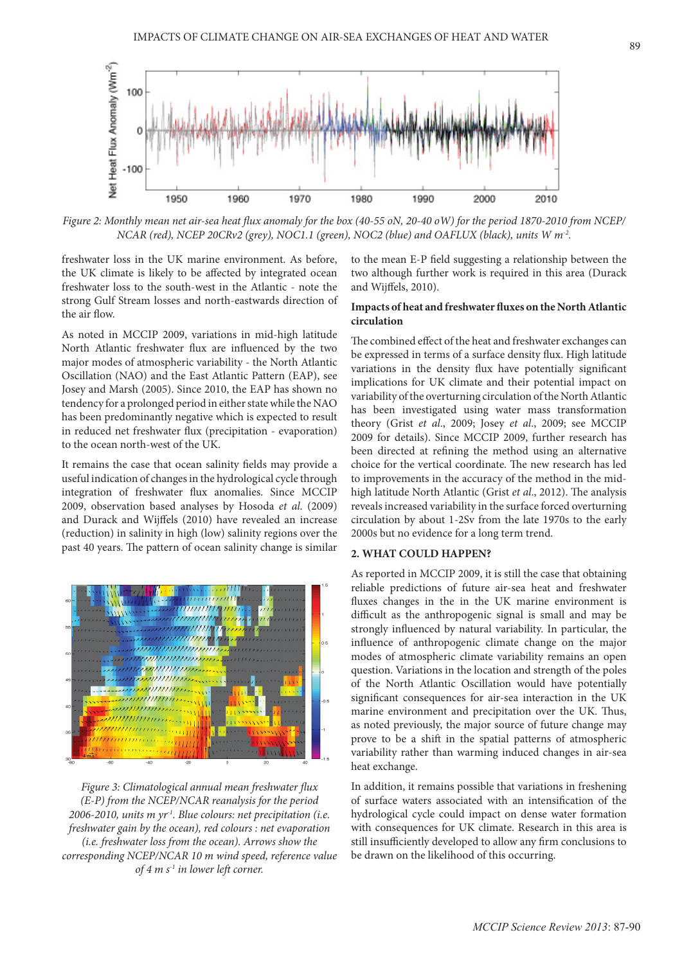

*Figure 2: Monthly mean net air-sea heat flux anomaly for the box (40-55 oN, 20-40 oW) for the period 1870-2010 from NCEP/ NCAR (red), NCEP 20CRv2 (grey), NOC1.1 (green), NOC2 (blue) and OAFLUX (black), units W m-2.* 

freshwater loss in the UK marine environment. As before, the UK climate is likely to be affected by integrated ocean freshwater loss to the south-west in the Atlantic - note the strong Gulf Stream losses and north-eastwards direction of the air flow.

As noted in MCCIP 2009, variations in mid-high latitude North Atlantic freshwater flux are influenced by the two major modes of atmospheric variability - the North Atlantic Oscillation (NAO) and the East Atlantic Pattern (EAP), see Josey and Marsh (2005). Since 2010, the EAP has shown no tendency for a prolonged period in either state while the NAO has been predominantly negative which is expected to result in reduced net freshwater flux (precipitation - evaporation) to the ocean north-west of the UK.

It remains the case that ocean salinity fields may provide a useful indication of changes in the hydrological cycle through integration of freshwater flux anomalies. Since MCCIP 2009, observation based analyses by Hosoda *et al*. (2009) and Durack and Wijffels (2010) have revealed an increase (reduction) in salinity in high (low) salinity regions over the past 40 years. The pattern of ocean salinity change is similar



*Figure 3: Climatological annual mean freshwater flux (E-P) from the NCEP/NCAR reanalysis for the period 2006-2010, units m yr-1. Blue colours: net precipitation (i.e. freshwater gain by the ocean), red colours : net evaporation (i.e. freshwater loss from the ocean). Arrows show the corresponding NCEP/NCAR 10 m wind speed, reference value of 4 m s-1 in lower left corner.* 

to the mean E-P field suggesting a relationship between the two although further work is required in this area (Durack and Wijffels, 2010).

## **Impacts of heat and freshwater fluxes on the North Atlantic circulation**

The combined effect of the heat and freshwater exchanges can be expressed in terms of a surface density flux. High latitude variations in the density flux have potentially significant implications for UK climate and their potential impact on variability of the overturning circulation of the North Atlantic has been investigated using water mass transformation theory (Grist *et al*., 2009; Josey *et al*., 2009; see MCCIP 2009 for details). Since MCCIP 2009, further research has been directed at refining the method using an alternative choice for the vertical coordinate. The new research has led to improvements in the accuracy of the method in the midhigh latitude North Atlantic (Grist *et al*., 2012). The analysis reveals increased variability in the surface forced overturning circulation by about 1-2Sv from the late 1970s to the early 2000s but no evidence for a long term trend.

#### **2. WHAT COULD HAPPEN?**

As reported in MCCIP 2009, it is still the case that obtaining reliable predictions of future air-sea heat and freshwater fluxes changes in the in the UK marine environment is difficult as the anthropogenic signal is small and may be strongly influenced by natural variability. In particular, the influence of anthropogenic climate change on the major modes of atmospheric climate variability remains an open question. Variations in the location and strength of the poles of the North Atlantic Oscillation would have potentially significant consequences for air-sea interaction in the UK marine environment and precipitation over the UK. Thus, as noted previously, the major source of future change may prove to be a shift in the spatial patterns of atmospheric variability rather than warming induced changes in air-sea heat exchange.

In addition, it remains possible that variations in freshening of surface waters associated with an intensification of the hydrological cycle could impact on dense water formation with consequences for UK climate. Research in this area is still insufficiently developed to allow any firm conclusions to be drawn on the likelihood of this occurring.